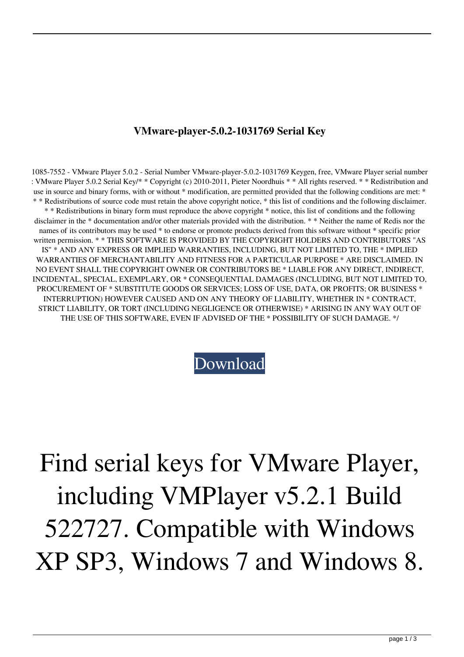## **VMware-player-5.0.2-1031769 Serial Key**

1085-7552 - VMware Player 5.0.2 - Serial Number VMware-player-5.0.2-1031769 Keygen, free, VMware Player serial number : VMware Player 5.0.2 Serial Key/\* \* Copyright (c) 2010-2011, Pieter Noordhuis \* \* All rights reserved. \* \* Redistribution and use in source and binary forms, with or without \* modification, are permitted provided that the following conditions are met: \* \* \* Redistributions of source code must retain the above copyright notice, \* this list of conditions and the following disclaimer. \* \* Redistributions in binary form must reproduce the above copyright \* notice, this list of conditions and the following disclaimer in the \* documentation and/or other materials provided with the distribution. \* \* Neither the name of Redis nor the names of its contributors may be used \* to endorse or promote products derived from this software without \* specific prior written permission. \* \* THIS SOFTWARE IS PROVIDED BY THE COPYRIGHT HOLDERS AND CONTRIBUTORS "AS IS" \* AND ANY EXPRESS OR IMPLIED WARRANTIES, INCLUDING, BUT NOT LIMITED TO, THE \* IMPLIED WARRANTIES OF MERCHANTABILITY AND FITNESS FOR A PARTICULAR PURPOSE \* ARE DISCLAIMED. IN NO EVENT SHALL THE COPYRIGHT OWNER OR CONTRIBUTORS BE \* LIABLE FOR ANY DIRECT, INDIRECT, INCIDENTAL, SPECIAL, EXEMPLARY, OR \* CONSEQUENTIAL DAMAGES (INCLUDING, BUT NOT LIMITED TO, PROCUREMENT OF \* SUBSTITUTE GOODS OR SERVICES; LOSS OF USE, DATA, OR PROFITS; OR BUSINESS \* INTERRUPTION) HOWEVER CAUSED AND ON ANY THEORY OF LIABILITY, WHETHER IN \* CONTRACT, STRICT LIABILITY, OR TORT (INCLUDING NEGLIGENCE OR OTHERWISE) \* ARISING IN ANY WAY OUT OF THE USE OF THIS SOFTWARE, EVEN IF ADVISED OF THE \* POSSIBILITY OF SUCH DAMAGE. \*/

[Download](http://evacdir.com/faction/hwang?Vk13YXJlLXBsYXllci01LjAuMi0xMDMxNzY5IFNlcmlhbCBLZXkVk1=ZG93bmxvYWR8QlE0WlhWbWZId3hOalV5TnpRd09EWTJmSHd5TlRjMGZId29UU2tnY21WaFpDMWliRzluSUZ0R1lYTjBJRWRGVGww&maps=mcclellan.yesturday)

Find serial keys for VMware Player, including VMPlayer v5.2.1 Build 522727. Compatible with Windows XP SP3, Windows 7 and Windows 8.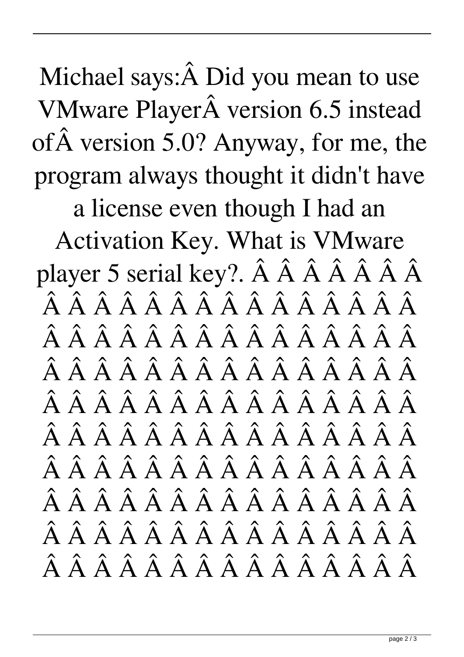Michael says:Â Did you mean to use VMware Player version 6.5 instead of version 5.0? Anyway, for me, the program always thought it didn't have

a license even though I had an

Activation Key. What is VMware player 5 serial key?. Â Â Â Â Â Â Â  $\hat{A}$   $\hat{A}$   $\hat{A}$   $\hat{A}$   $\hat{A}$   $\hat{A}$   $\hat{A}$   $\hat{A}$   $\hat{A}$   $\hat{A}$   $\hat{A}$   $\hat{A}$   $\hat{A}$   $\hat{A}$  $\hat{A}$   $\hat{A}$   $\hat{A}$   $\hat{A}$   $\hat{A}$   $\hat{A}$   $\hat{A}$   $\hat{A}$   $\hat{A}$   $\hat{A}$   $\hat{A}$   $\hat{A}$   $\hat{A}$   $\hat{A}$  $\hat{A}$   $\hat{A}$   $\hat{A}$   $\hat{A}$   $\hat{A}$   $\hat{A}$   $\hat{A}$   $\hat{A}$   $\hat{A}$   $\hat{A}$   $\hat{A}$   $\hat{A}$   $\hat{A}$   $\hat{A}$  $\hat{A}$   $\hat{A}$   $\hat{A}$   $\hat{A}$   $\hat{A}$   $\hat{A}$   $\hat{A}$   $\hat{A}$   $\hat{A}$   $\hat{A}$   $\hat{A}$   $\hat{A}$   $\hat{A}$   $\hat{A}$  $\hat{A}$   $\hat{A}$   $\hat{A}$   $\hat{A}$   $\hat{A}$   $\hat{A}$   $\hat{A}$   $\hat{A}$   $\hat{A}$   $\hat{A}$   $\hat{A}$   $\hat{A}$   $\hat{A}$   $\hat{A}$  $\hat{A}$   $\hat{A}$   $\hat{A}$   $\hat{A}$   $\hat{A}$   $\hat{A}$   $\hat{A}$   $\hat{A}$   $\hat{A}$   $\hat{A}$   $\hat{A}$   $\hat{A}$   $\hat{A}$   $\hat{A}$  $\hat{A}$   $\hat{A}$   $\hat{A}$   $\hat{A}$   $\hat{A}$   $\hat{A}$   $\hat{A}$   $\hat{A}$   $\hat{A}$   $\hat{A}$   $\hat{A}$   $\hat{A}$   $\hat{A}$   $\hat{A}$  $\hat{A}$   $\hat{A}$   $\hat{A}$   $\hat{A}$   $\hat{A}$   $\hat{A}$   $\hat{A}$   $\hat{A}$   $\hat{A}$   $\hat{A}$   $\hat{A}$   $\hat{A}$   $\hat{A}$   $\hat{A}$  $\hat{A}$   $\hat{A}$   $\hat{A}$   $\hat{A}$   $\hat{A}$   $\hat{A}$   $\hat{A}$   $\hat{A}$   $\hat{A}$   $\hat{A}$   $\hat{A}$   $\hat{A}$   $\hat{A}$   $\hat{A}$